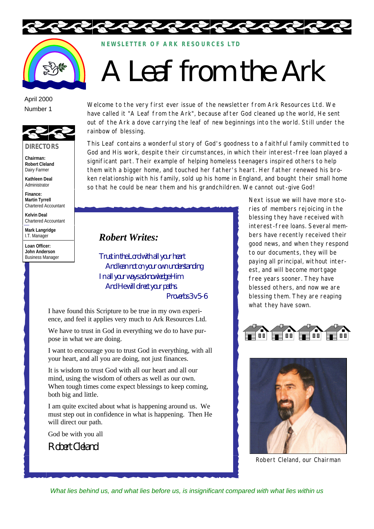



**NEWSLETTER OF ARK RE SOURCES LTD**

## A Leaf from the Ark

## April 2000 Number 1



**Chairman: Robert Cleland** Dairy Farmer

**Kathleen Deal** Administrator

**Finance: Martin Tyrrell** Chartered Accountant

**Kelvin Deal** Chartered Accountant

**Mark Langridge** I.T. Manager

**Loan Officer: John Anderson** Business Manager Welcome to the very first ever issue of the newsletter from Ark Resources Ltd. We have called it "A Leaf from the Ark", because after God cleaned up the world, He sent out of the Ark a dove carrying the leaf of new beginnings into the world. Still under the rainbow of blessing.

This Leaf contains a wonderful story of God's goodness to a faithful family committed to God and His work, despite their circumstances, in which their interest-free loan played a significant part. Their example of helping homeless teenagers inspired others to help them with a bigger home, and touched her father's heart. Her father renewed his broken relationship with his family, sold up his home in England, and bought their small home so that he could be near them and his grandchildren. We cannot out-give God!

## *Robert Writes:*

Trust in the Lord with all your heart And lean not on your own understanding In all your ways acknowledge Him And He will direct your paths. Proverbs 3 v 5-6

I have found this Scripture to be true in my own experience, and feel it applies very much to Ark Resources Ltd.

We have to trust in God in everything we do to have purpose in what we are doing.

I want to encourage you to trust God in everything, with all your heart, and all you are doing, not just finances.

It is wisdom to trust God with all our heart and all our mind, using the wisdom of others as well as our own. When tough times come expect blessings to keep coming, both big and little.

I am quite excited about what is happening around us. We must step out in confidence in what is happening. Then He will direct our path.

God be with you all

Robert Cleland

Next issue we will have more stories of members rejoicing in the blessing they have received with interest-free loans. Several members have recently received their good news, and when they respond to our documents, they will be paying all principal, without interest, and will become mortgage free years sooner. They have blessed others, and now we are blessing them. They are reaping what they have sown.





Robert Cleland, our Chairman

*What lies behind us, and what lies before us, is insignificant compared with what lies within us*